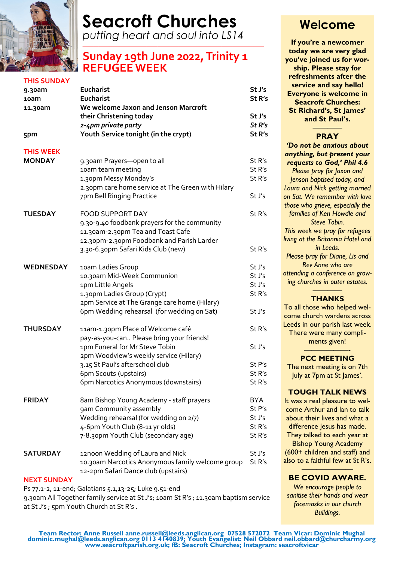

# **Seacroft Churches**

*putting heart and soul into LS14 —–—–——————————————*

# **Sunday 19th June 2022, Trinity 1 REFUGEEWEEK**

| <b>THIS SUNDAY</b> |                                                   |                   |
|--------------------|---------------------------------------------------|-------------------|
| 9.30am             | Eucharist                                         | St J's            |
| 10am               | <b>Eucharist</b>                                  | St R's            |
| 11.30am            | We welcome Jaxon and Jenson Marcroft              |                   |
|                    | their Christening today                           | St J's            |
|                    | 2-4pm private party                               | St <sub>R's</sub> |
| 5pm                | Youth Service tonight (in the crypt)              | St R's            |
| <b>THIS WEEK</b>   |                                                   |                   |
| <b>MONDAY</b>      | 9.30am Prayers-open to all                        | St R's            |
|                    | 10am team meeting                                 | St R's            |
|                    | 1.30pm Messy Monday's                             | St R's            |
|                    | 2.30pm care home service at The Green with Hilary |                   |
|                    | 7pm Bell Ringing Practice                         | St J's            |
| <b>TUESDAY</b>     | <b>FOOD SUPPORT DAY</b>                           | St R's            |
|                    | 9.30-9.40 foodbank prayers for the community      |                   |
|                    | 11.30am-2.30pm Tea and Toast Cafe                 |                   |
|                    | 12.30pm-2.30pm Foodbank and Parish Larder         |                   |
|                    | 3.30-6.30pm Safari Kids Club (new)                | St R's            |
|                    |                                                   |                   |
| <b>WEDNESDAY</b>   | 10am Ladies Group                                 | St J's            |
|                    | 10.30am Mid-Week Communion                        | St J's            |
|                    | 1pm Little Angels                                 | St J's            |
|                    | 1.30pm Ladies Group (Crypt)                       | St R's            |
|                    | 2pm Service at The Grange care home (Hilary)      |                   |
|                    | 6pm Wedding rehearsal (for wedding on Sat)        | St J's            |
| <b>THURSDAY</b>    | 11am-1.30pm Place of Welcome café                 | St R's            |
|                    | pay-as-you-can Please bring your friends!         |                   |
|                    | 1pm Funeral for Mr Steve Tobin                    | St J's            |
|                    |                                                   |                   |
|                    | 2pm Woodview's weekly service (Hilary)            |                   |
|                    | 3.15 St Paul's afterschool club                   | St P's            |
|                    | 6pm Scouts (upstairs)                             | St R's            |
|                    | 6pm Narcotics Anonymous (downstairs)              | St R's            |
| <b>FRIDAY</b>      | 8am Bishop Young Academy - staff prayers          | <b>BYA</b>        |
|                    | gam Community assembly                            | St P's            |
|                    | Wedding rehearsal (for wedding on 2/7)            | St J's            |
|                    | 4-6pm Youth Club (8-11 yr olds)                   | St R's            |
|                    | 7-8.30pm Youth Club (secondary age)               | St R's            |
| <b>SATURDAY</b>    | 12noon Wedding of Laura and Nick                  | St J's            |
|                    | 10.30am Narcotics Anonymous family welcome group  | St R's            |
|                    | 12-2pm Safari Dance club (upstairs)               |                   |
| <b>NEXT SUNDAY</b> |                                                   |                   |
|                    |                                                   |                   |

Ps 77.1-2, 11-end; Galatians 5.1,13-25; Luke 9.51-end 9.30am All Together family service at St J's; 10am St R's ; 11.30am baptism service at St J's ; 5pm Youth Church at St R's .

# **Welcome**

**If you're a newcomer today we are very glad you've joined us for worship. Please stay for refreshments after the service and say hello! Everyone is welcome in Seacroft Churches: St Richard's, St James' and St Paul's.**

#### ———— **PRAY**

*'Do not be anxious about anything, but present your requests to God,' Phil 4.6 Please pray for Jaxon and Jenson baptised today, and Laura and Nick getting married on Sat. We remember with love those who grieve, especially the families of Ken Howdle and Steve Tobin. This week we pray for refugees living at the Britannia Hotel and in Leeds. Please pray for Diane, Lis and Rev Anne who are attending a conference on growing churches in outer estates. ————*

# **THANKS**

To all those who helped welcome church wardens across Leeds in our parish last week. There were many compliments given! ——————-

## **PCC MEETING**

The next meeting is on 7th July at 7pm at St James'.

#### **TOUGH TALK NEWS**

It was a real pleasure to welcome Arthur and Ian to talk about their lives and what a difference Jesus has made. They talked to each year at Bishop Young Academy (600+ children and staff) and also to a faithful few at St R's.

#### ——————— **BE COVID AWARE.**

*We encourage people to sanitise their hands and wear facemasks in our church Buildings.*